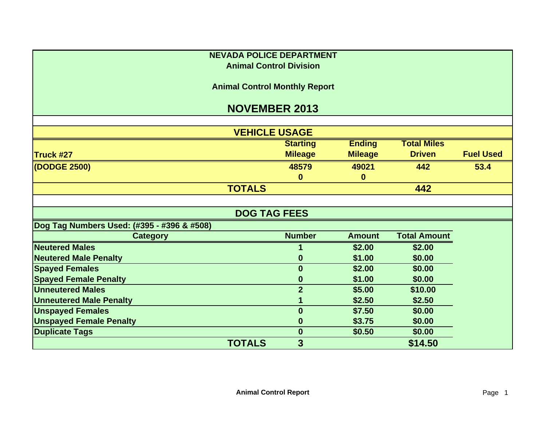| <b>NEVADA POLICE DEPARTMENT</b>            |                      |                 |                |                     |                  |  |  |  |
|--------------------------------------------|----------------------|-----------------|----------------|---------------------|------------------|--|--|--|
| <b>Animal Control Division</b>             |                      |                 |                |                     |                  |  |  |  |
| <b>Animal Control Monthly Report</b>       |                      |                 |                |                     |                  |  |  |  |
| <b>NOVEMBER 2013</b>                       |                      |                 |                |                     |                  |  |  |  |
|                                            |                      |                 |                |                     |                  |  |  |  |
|                                            | <b>VEHICLE USAGE</b> |                 |                |                     |                  |  |  |  |
|                                            |                      | <b>Starting</b> | <b>Ending</b>  | <b>Total Miles</b>  |                  |  |  |  |
| Truck #27                                  |                      | <b>Mileage</b>  | <b>Mileage</b> | <b>Driven</b>       | <b>Fuel Used</b> |  |  |  |
| (DODGE 2500)                               |                      | 48579           | 49021          | 442                 | 53.4             |  |  |  |
|                                            |                      | $\bf{0}$        | $\bf{0}$       |                     |                  |  |  |  |
|                                            | <b>TOTALS</b>        |                 |                | 442                 |                  |  |  |  |
|                                            |                      |                 |                |                     |                  |  |  |  |
| <b>DOG TAG FEES</b>                        |                      |                 |                |                     |                  |  |  |  |
| Dog Tag Numbers Used: (#395 - #396 & #508) |                      |                 |                |                     |                  |  |  |  |
| <b>Category</b>                            |                      | <b>Number</b>   | <b>Amount</b>  | <b>Total Amount</b> |                  |  |  |  |
| <b>Neutered Males</b>                      |                      |                 | \$2.00         | \$2.00              |                  |  |  |  |
| <b>Neutered Male Penalty</b>               |                      | 0               | \$1.00         | \$0.00              |                  |  |  |  |
| <b>Spayed Females</b>                      |                      | $\bf{0}$        | \$2.00         | \$0.00              |                  |  |  |  |
| <b>Spayed Female Penalty</b>               |                      | 0               | \$1.00         | \$0.00              |                  |  |  |  |
| <b>Unneutered Males</b>                    |                      | $\overline{2}$  | \$5.00         | \$10.00             |                  |  |  |  |
| <b>Unneutered Male Penalty</b>             |                      |                 | \$2.50         | \$2.50              |                  |  |  |  |
| <b>Unspayed Females</b>                    |                      | $\bf{0}$        | \$7.50         | \$0.00              |                  |  |  |  |
| <b>Unspayed Female Penalty</b>             |                      | 0               | \$3.75         | \$0.00              |                  |  |  |  |
| <b>Duplicate Tags</b>                      |                      | $\bf{0}$        | \$0.50         | \$0.00              |                  |  |  |  |
|                                            | <b>TOTALS</b>        | 3               |                | \$14.50             |                  |  |  |  |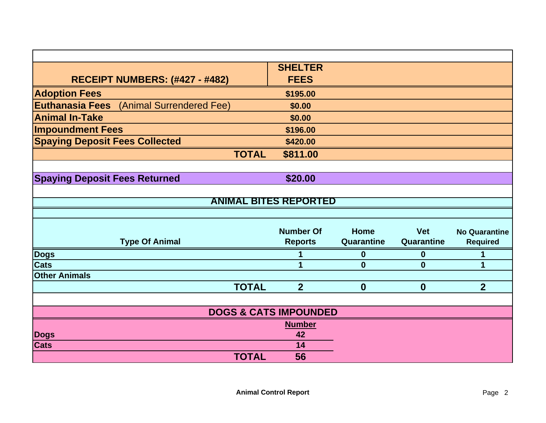|                                                 | <b>SHELTER</b>                   |                  |            |                      |
|-------------------------------------------------|----------------------------------|------------------|------------|----------------------|
| <b>RECEIPT NUMBERS: (#427 - #482)</b>           | <b>FEES</b>                      |                  |            |                      |
| <b>Adoption Fees</b>                            | \$195.00                         |                  |            |                      |
| <b>Euthanasia Fees</b> (Animal Surrendered Fee) | \$0.00                           |                  |            |                      |
| <b>Animal In-Take</b>                           | \$0.00                           |                  |            |                      |
| <b>Impoundment Fees</b>                         | \$196.00                         |                  |            |                      |
| <b>Spaying Deposit Fees Collected</b>           | \$420.00                         |                  |            |                      |
| <b>TOTAL</b>                                    | \$811.00                         |                  |            |                      |
|                                                 |                                  |                  |            |                      |
| <b>Spaying Deposit Fees Returned</b>            | \$20.00                          |                  |            |                      |
|                                                 |                                  |                  |            |                      |
|                                                 | <b>ANIMAL BITES REPORTED</b>     |                  |            |                      |
|                                                 |                                  |                  |            |                      |
|                                                 | <b>Number Of</b>                 | Home             | <b>Vet</b> | <b>No Quarantine</b> |
| <b>Type Of Animal</b>                           | <b>Reports</b>                   | Quarantine       | Quarantine | <b>Required</b>      |
| Dogs                                            |                                  | $\bf{0}$         | $\bf{0}$   | 1                    |
| <b>Cats</b>                                     | 1                                | $\bf{0}$         | $\bf{0}$   | 1                    |
| <b>Other Animals</b>                            |                                  |                  |            |                      |
| <b>TOTAL</b>                                    | $\overline{2}$                   | $\boldsymbol{0}$ | $\bf{0}$   | $\overline{2}$       |
|                                                 |                                  |                  |            |                      |
|                                                 | <b>DOGS &amp; CATS IMPOUNDED</b> |                  |            |                      |
|                                                 | <b>Number</b>                    |                  |            |                      |
| <b>Dogs</b>                                     | 42                               |                  |            |                      |
| <b>Cats</b>                                     | 14                               |                  |            |                      |
| <b>TOTAL</b>                                    | 56                               |                  |            |                      |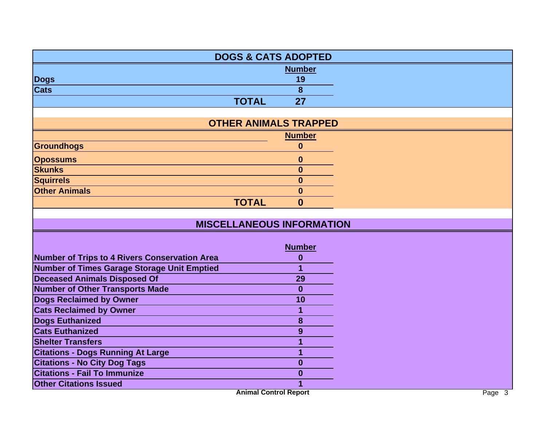|                                                    | <b>DOGS &amp; CATS ADOPTED</b>   |  |
|----------------------------------------------------|----------------------------------|--|
|                                                    | <b>Number</b>                    |  |
| <b>Dogs</b>                                        | 19                               |  |
| <b>Cats</b>                                        | 8                                |  |
| <b>TOTAL</b>                                       | 27                               |  |
|                                                    |                                  |  |
|                                                    | <b>OTHER ANIMALS TRAPPED</b>     |  |
|                                                    | <b>Number</b>                    |  |
| Groundhogs                                         | $\mathbf{0}$                     |  |
| <b>Opossums</b>                                    | $\boldsymbol{0}$                 |  |
| <b>Skunks</b>                                      | $\bf{0}$                         |  |
| <b>Squirrels</b>                                   | $\bf{0}$                         |  |
| <b>Other Animals</b>                               | $\bf{0}$                         |  |
| <b>TOTAL</b>                                       | $\bf{0}$                         |  |
|                                                    |                                  |  |
|                                                    | <b>MISCELLANEOUS INFORMATION</b> |  |
|                                                    |                                  |  |
|                                                    | <b>Number</b>                    |  |
| Number of Trips to 4 Rivers Conservation Area      | $\bf{0}$                         |  |
| <b>Number of Times Garage Storage Unit Emptied</b> | 1                                |  |
| <b>Deceased Animals Disposed Of</b>                | 29                               |  |
| <b>Number of Other Transports Made</b>             | $\bf{0}$                         |  |
| <b>Dogs Reclaimed by Owner</b>                     | 10                               |  |
| <b>Cats Reclaimed by Owner</b>                     | 1                                |  |
| <b>Dogs Euthanized</b>                             | 8                                |  |
| <b>Cats Euthanized</b>                             | 9                                |  |
| <b>Shelter Transfers</b>                           | 1                                |  |
| <b>Citations - Dogs Running At Large</b>           | 1                                |  |
| <b>Citations - No City Dog Tags</b>                | $\boldsymbol{0}$                 |  |
| <b>Citations - Fail To Immunize</b>                | $\bf{0}$                         |  |
| <b>Other Citations Issued</b>                      |                                  |  |
|                                                    | <b>Animal Control Report</b>     |  |